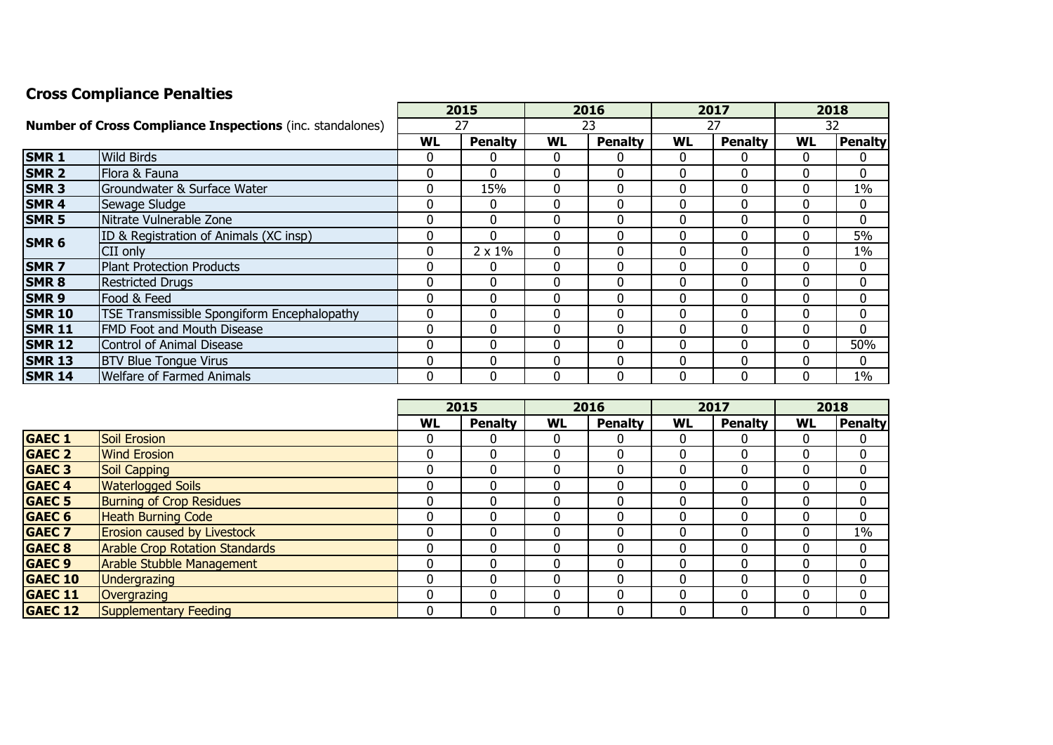## **Cross Compliance Penalties**

|                                                                  |                                                    |          | 2015           | 2016      |                | 2017      |                | 2018         |              |
|------------------------------------------------------------------|----------------------------------------------------|----------|----------------|-----------|----------------|-----------|----------------|--------------|--------------|
| <b>Number of Cross Compliance Inspections (inc. standalones)</b> |                                                    | 27       |                | 23        |                | 27        |                | 32           |              |
|                                                                  |                                                    | WL       | <b>Penalty</b> | <b>WL</b> | <b>Penalty</b> | <b>WL</b> | <b>Penalty</b> | <b>WL</b>    | Penalty      |
| <b>SMR1</b>                                                      | <b>Wild Birds</b>                                  | 0        | 0              | 0         | 0              |           | 0              | $\Omega$     | 0            |
| <b>SMR 2</b>                                                     | Flora & Fauna                                      | 0        | $\Omega$       | 0         | 0              |           | $\mathbf 0$    | 0            | $\mathbf{0}$ |
| <b>SMR3</b>                                                      | Groundwater & Surface Water                        | 0        | 15%            | 0         | 0              |           | 0              | $\mathbf{0}$ | 1%           |
| <b>SMR4</b>                                                      | Sewage Sludge                                      | 0        | $\mathbf{0}$   | 0         | 0              |           | 0              | 0            | $\mathbf{0}$ |
| <b>SMR 5</b>                                                     | Nitrate Vulnerable Zone                            | 0        | $\Omega$       | 0         | 0              |           | $\Omega$       | 0            | $\Omega$     |
| <b>SMR 6</b>                                                     | ID & Registration of Animals (XC insp)             | 0        | $\Omega$       | $\Omega$  | $\Omega$       |           | $\Omega$       | $\Omega$     | 5%           |
|                                                                  | <b>CII</b> only                                    | 0        | $2 \times 1\%$ | 0         | 0              |           | 0              | $\mathbf{0}$ | 1%           |
| <b>SMR7</b>                                                      | Plant Protection Products                          | 0        | 0              | 0         | 0              |           | 0              | $\mathbf{0}$ | $\mathbf{0}$ |
| <b>SMR8</b>                                                      | <b>Restricted Drugs</b>                            | 0        | $\mathbf 0$    | 0         | 0              |           | $\Omega$       | 0            | $\mathbf{0}$ |
| <b>SMR9</b>                                                      | Food & Feed                                        | 0        | 0              | 0         | 0              | 0         | 0              | $\Omega$     | $\mathbf{0}$ |
| <b>SMR 10</b>                                                    | <b>TSE Transmissible Spongiform Encephalopathy</b> | 0        | 0              | 0         | 0              |           | 0              | 0            | $\mathbf 0$  |
| <b>SMR 11</b>                                                    | <b>FMD Foot and Mouth Disease</b>                  | 0        | 0              | 0         | 0              | 0         | 0              | $\Omega$     | $\Omega$     |
| <b>SMR 12</b>                                                    | Control of Animal Disease                          | $\Omega$ | $\Omega$       | 0         | $\Omega$       | 0         | 0              | $\Omega$     | 50%          |
| <b>SMR 13</b>                                                    | <b>BTV Blue Tongue Virus</b>                       | 0        | $\Omega$       | 0         | $\Omega$       |           | $\Omega$       | $\Omega$     | $\Omega$     |
| <b>SMR 14</b>                                                    | <b>Welfare of Farmed Animals</b>                   | 0        | $\Omega$       | 0         | $\Omega$       |           | $\Omega$       | $\Omega$     | $1\%$        |

|                   |                                       | 2015         |                | 2016         |                | 2017 |                | 2018         |                |
|-------------------|---------------------------------------|--------------|----------------|--------------|----------------|------|----------------|--------------|----------------|
|                   |                                       | <b>WL</b>    | <b>Penalty</b> | <b>WL</b>    | <b>Penalty</b> | WL   | <b>Penalty</b> | <b>WL</b>    | <b>Penalty</b> |
| <b>GAEC 1</b>     | <b>Soil Erosion</b>                   | 0            | 0              | 0            | O              |      | 0              | 0            | 0              |
| <b>GAEC 2</b>     | <b>Wind Erosion</b>                   | 0            | 0              |              | 0              |      | 0              | 0            | 0              |
| <b>GAEC 3</b>     | <b>Soil Capping</b>                   | $\mathbf{0}$ | 0              |              | 0              |      | 0              | 0            | 0              |
| <b>GAEC 4</b>     | <b>Waterlogged Soils</b>              | 0            | 0              |              | 0              |      | 0              | 0            | 0              |
| <b>GAEC 5</b>     | <b>Burning of Crop Residues</b>       | 0            | 0              |              | 0              |      | 0              | 0            | 0              |
| <b>GAEC 6</b>     | <b>Heath Burning Code</b>             | 0            | 0              |              |                |      | 0              | $\mathbf{0}$ | 0              |
| <b>GAEC 7</b>     | <b>Erosion caused by Livestock</b>    | 0            | 0              | C            | 0              |      | 0              | 0            | $1\%$          |
| <b>GAEC 8</b>     | <b>Arable Crop Rotation Standards</b> | 0            | 0              | $\mathbf{0}$ | 0              |      | 0              | 0            | 0              |
| GAEC <sub>9</sub> | <b>Arable Stubble Management</b>      |              | 0              |              | 0              |      | 0              | 0            | 0              |
| <b>GAEC 10</b>    | <b>Undergrazing</b>                   |              | $\Omega$       |              | 0              |      | 0              | $\Omega$     | 0              |
| <b>GAEC 11</b>    | Overgrazing                           | 0            | 0              |              | 0              |      | 0              | 0            | 0              |
| <b>GAEC 12</b>    | Supplementary Feeding                 | 0            | 0              | 0            | 0              |      | 0              | 0            | 0              |